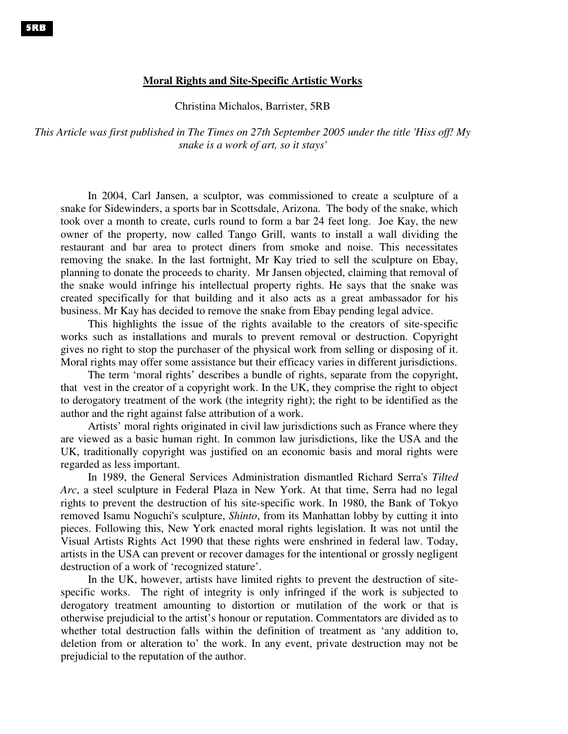## **Moral Rights and Site-Specific Artistic Works**

Christina Michalos, Barrister, 5RB

*This Article was first published in The Times on 27th September 2005 under the title 'Hiss off! My snake is a work of art, so it stays'*

In 2004, Carl Jansen, a sculptor, was commissioned to create a sculpture of a snake for Sidewinders, a sports bar in Scottsdale, Arizona. The body of the snake, which took over a month to create, curls round to form a bar 24 feet long. Joe Kay, the new owner of the property, now called Tango Grill, wants to install a wall dividing the restaurant and bar area to protect diners from smoke and noise. This necessitates removing the snake. In the last fortnight, Mr Kay tried to sell the sculpture on Ebay, planning to donate the proceeds to charity. Mr Jansen objected, claiming that removal of the snake would infringe his intellectual property rights. He says that the snake was created specifically for that building and it also acts as a great ambassador for his business. Mr Kay has decided to remove the snake from Ebay pending legal advice.

This highlights the issue of the rights available to the creators of site-specific works such as installations and murals to prevent removal or destruction. Copyright gives no right to stop the purchaser of the physical work from selling or disposing of it. Moral rights may offer some assistance but their efficacy varies in different jurisdictions.

The term 'moral rights' describes a bundle of rights, separate from the copyright, that vest in the creator of a copyright work. In the UK, they comprise the right to object to derogatory treatment of the work (the integrity right); the right to be identified as the author and the right against false attribution of a work.

Artists' moral rights originated in civil law jurisdictions such as France where they are viewed as a basic human right. In common law jurisdictions, like the USA and the UK, traditionally copyright was justified on an economic basis and moral rights were regarded as less important.

In 1989, the General Services Administration dismantled Richard Serra's *Tilted Arc*, a steel sculpture in Federal Plaza in New York. At that time, Serra had no legal rights to prevent the destruction of his site-specific work. In 1980, the Bank of Tokyo removed Isamu Noguchi's sculpture, *Shinto*, from its Manhattan lobby by cutting it into pieces. Following this, New York enacted moral rights legislation. It was not until the Visual Artists Rights Act 1990 that these rights were enshrined in federal law. Today, artists in the USA can prevent or recover damages for the intentional or grossly negligent destruction of a work of 'recognized stature'.

In the UK, however, artists have limited rights to prevent the destruction of sitespecific works. The right of integrity is only infringed if the work is subjected to derogatory treatment amounting to distortion or mutilation of the work or that is otherwise prejudicial to the artist's honour or reputation. Commentators are divided as to whether total destruction falls within the definition of treatment as 'any addition to, deletion from or alteration to' the work. In any event, private destruction may not be prejudicial to the reputation of the author.